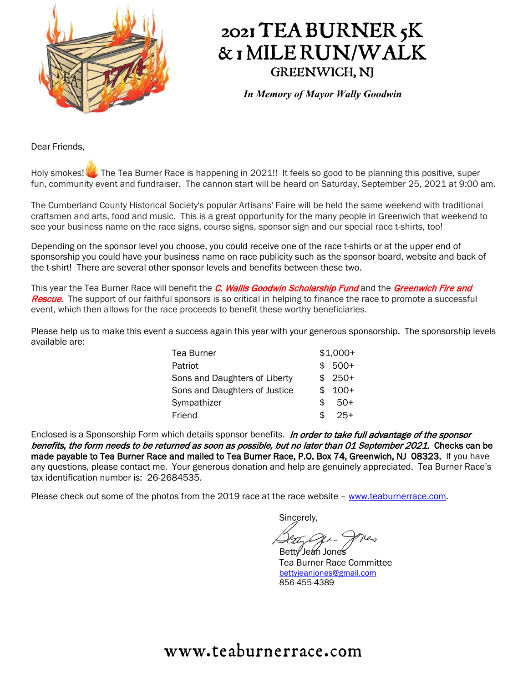

## 2021 TEA BURNER 5K & 1 MILE RUN/WALK GREENWICH, NJ

*In Memory of Mayor Wally Goodwin*

Dear Friends,

Holy smokes! The Tea Burner Race is happening in 2021!! It feels so good to be planning this positive, super fun, community event and fundraiser. The cannon start will be heard on Saturday, September 25, 2021 at 9:00 am.

The Cumberland County Historical Society's popular Artisans' Faire will be held the same weekend with traditional craftsmen and arts, food and music. This is a great opportunity for the many people in Greenwich that weekend to see your business name on the race signs, course signs, sponsor sign and our special race t-shirts, too!

Depending on the sponsor level you choose, you could receive one of the race t-shirts or at the upper end of sponsorship you could have your business name on race publicity such as the sponsor board, website and back of the t-shirt! There are several other sponsor levels and benefits between these two.

This year the Tea Burner Race will benefit the *C. Wallis Goodwin Scholarship Fund* and the Greenwich Fire and Rescue. The support of our faithful sponsors is so critical in helping to finance the race to promote a successful event, which then allows for the race proceeds to benefit these worthy beneficiaries.

Please help us to make this event a success again this year with your generous sponsorship. The sponsorship levels available are:

|     | $$1,000+$ |
|-----|-----------|
|     | $$500+$   |
|     | $$250+$   |
| \$. | $100+$    |
| \$  | $50+$     |
| \$. | $25+$     |
|     |           |

Enclosed is a Sponsorship Form which details sponsor benefits. In order to take full advantage of the sponsor benefits, the form needs to be returned as soon as possible, but no later than 01 September 2021. Checks can be made payable to Tea Burner Race and mailed to Tea Burner Race, P.O. Box 74, Greenwich, NJ 08323. If you have any questions, please contact me. Your generous donation and help are genuinely appreciated. Tea Burner Race's tax identification number is: 26-2684535.

Please check out some of the photos from the 2019 race at the race website - [www.teaburnerrace.com.](http://www.teaburnerrace.com/)

Sincerely,

Betty Jean Jones

Tea Burner Race Committee [bettyjeanjones@gmail.com](mailto:bettyjeanjones@gmail.com) 856-455-4389

### www.teaburnerrace.com